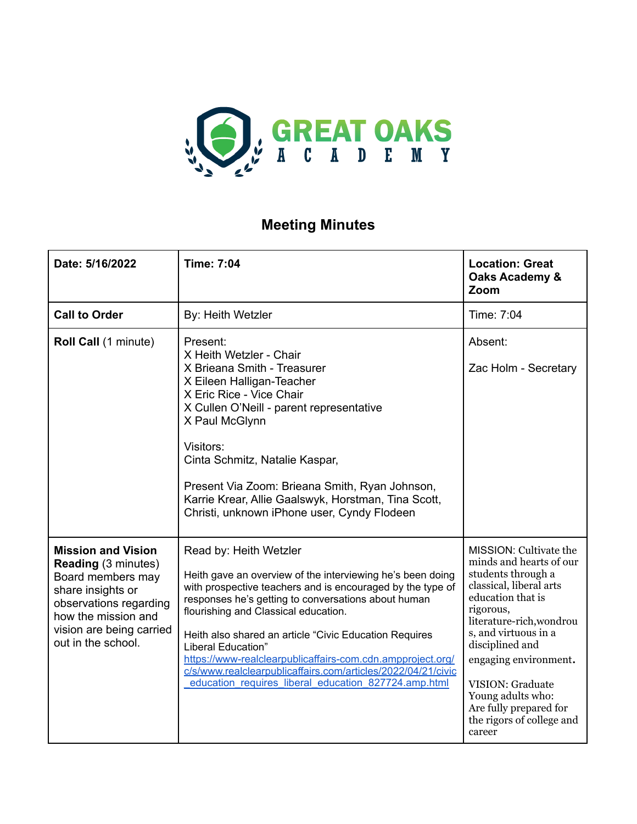

## **Meeting Minutes**

| Date: 5/16/2022                                                                                                                                                                                      | <b>Time: 7:04</b>                                                                                                                                                                                                                                                                                                                                                                                                                                                                                                       | <b>Location: Great</b><br>Oaks Academy &<br>Zoom                                                                                                                                                                                                                                                                                               |
|------------------------------------------------------------------------------------------------------------------------------------------------------------------------------------------------------|-------------------------------------------------------------------------------------------------------------------------------------------------------------------------------------------------------------------------------------------------------------------------------------------------------------------------------------------------------------------------------------------------------------------------------------------------------------------------------------------------------------------------|------------------------------------------------------------------------------------------------------------------------------------------------------------------------------------------------------------------------------------------------------------------------------------------------------------------------------------------------|
| <b>Call to Order</b>                                                                                                                                                                                 | By: Heith Wetzler                                                                                                                                                                                                                                                                                                                                                                                                                                                                                                       | Time: 7:04                                                                                                                                                                                                                                                                                                                                     |
| Roll Call (1 minute)                                                                                                                                                                                 | Present:<br>X Heith Wetzler - Chair<br>X Brieana Smith - Treasurer<br>X Eileen Halligan-Teacher<br>X Eric Rice - Vice Chair<br>X Cullen O'Neill - parent representative<br>X Paul McGlynn<br>Visitors:<br>Cinta Schmitz, Natalie Kaspar,<br>Present Via Zoom: Brieana Smith, Ryan Johnson,<br>Karrie Krear, Allie Gaalswyk, Horstman, Tina Scott,<br>Christi, unknown iPhone user, Cyndy Flodeen                                                                                                                        | Absent:<br>Zac Holm - Secretary                                                                                                                                                                                                                                                                                                                |
| <b>Mission and Vision</b><br><b>Reading (3 minutes)</b><br>Board members may<br>share insights or<br>observations regarding<br>how the mission and<br>vision are being carried<br>out in the school. | Read by: Heith Wetzler<br>Heith gave an overview of the interviewing he's been doing<br>with prospective teachers and is encouraged by the type of<br>responses he's getting to conversations about human<br>flourishing and Classical education.<br>Heith also shared an article "Civic Education Requires<br>Liberal Education"<br>https://www-realclearpublicaffairs-com.cdn.ampproject.org/<br>c/s/www.realclearpublicaffairs.com/articles/2022/04/21/civic<br>education requires liberal education 827724.amp.html | MISSION: Cultivate the<br>minds and hearts of our<br>students through a<br>classical, liberal arts<br>education that is<br>rigorous,<br>literature-rich, wondrou<br>s, and virtuous in a<br>disciplined and<br>engaging environment.<br>VISION: Graduate<br>Young adults who:<br>Are fully prepared for<br>the rigors of college and<br>career |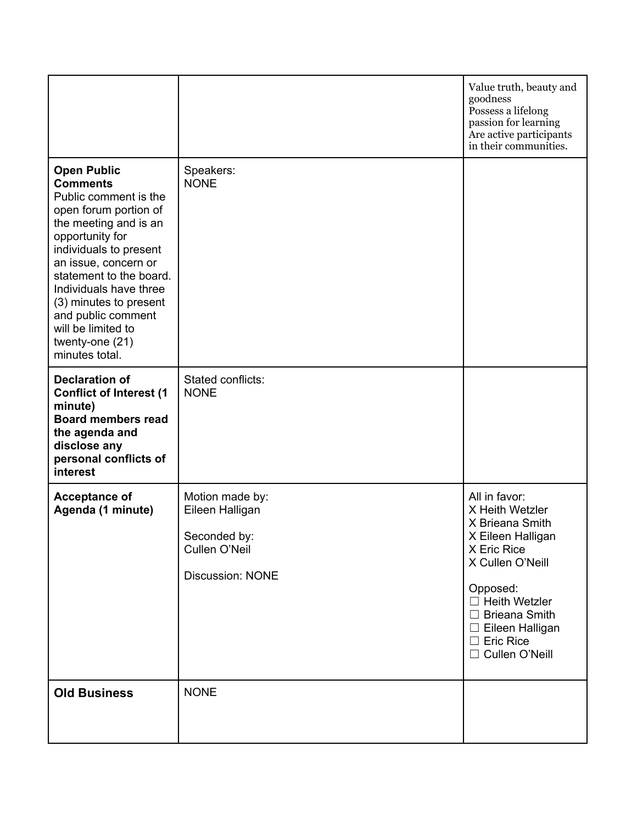|                                                                                                                                                                                                                                                                                                                                                       |                                                                                                | Value truth, beauty and<br>goodness<br>Possess a lifelong<br>passion for learning<br>Are active participants<br>in their communities.                                                                                                     |
|-------------------------------------------------------------------------------------------------------------------------------------------------------------------------------------------------------------------------------------------------------------------------------------------------------------------------------------------------------|------------------------------------------------------------------------------------------------|-------------------------------------------------------------------------------------------------------------------------------------------------------------------------------------------------------------------------------------------|
| <b>Open Public</b><br><b>Comments</b><br>Public comment is the<br>open forum portion of<br>the meeting and is an<br>opportunity for<br>individuals to present<br>an issue, concern or<br>statement to the board.<br>Individuals have three<br>(3) minutes to present<br>and public comment<br>will be limited to<br>twenty-one (21)<br>minutes total. | Speakers:<br><b>NONE</b>                                                                       |                                                                                                                                                                                                                                           |
| <b>Declaration of</b><br><b>Conflict of Interest (1</b><br>minute)<br><b>Board members read</b><br>the agenda and<br>disclose any<br>personal conflicts of<br>interest                                                                                                                                                                                | Stated conflicts:<br><b>NONE</b>                                                               |                                                                                                                                                                                                                                           |
| <b>Acceptance of</b><br>Agenda (1 minute)                                                                                                                                                                                                                                                                                                             | Motion made by:<br>Eileen Halligan<br>Seconded by:<br>Cullen O'Neil<br><b>Discussion: NONE</b> | All in favor:<br>X Heith Wetzler<br>X Brieana Smith<br>X Eileen Halligan<br>X Eric Rice<br>X Cullen O'Neill<br>Opposed:<br>$\Box$ Heith Wetzler<br>$\Box$ Brieana Smith<br>$\Box$ Eileen Halligan<br>$\Box$ Eric Rice<br>□ Cullen O'Neill |
| <b>Old Business</b>                                                                                                                                                                                                                                                                                                                                   | <b>NONE</b>                                                                                    |                                                                                                                                                                                                                                           |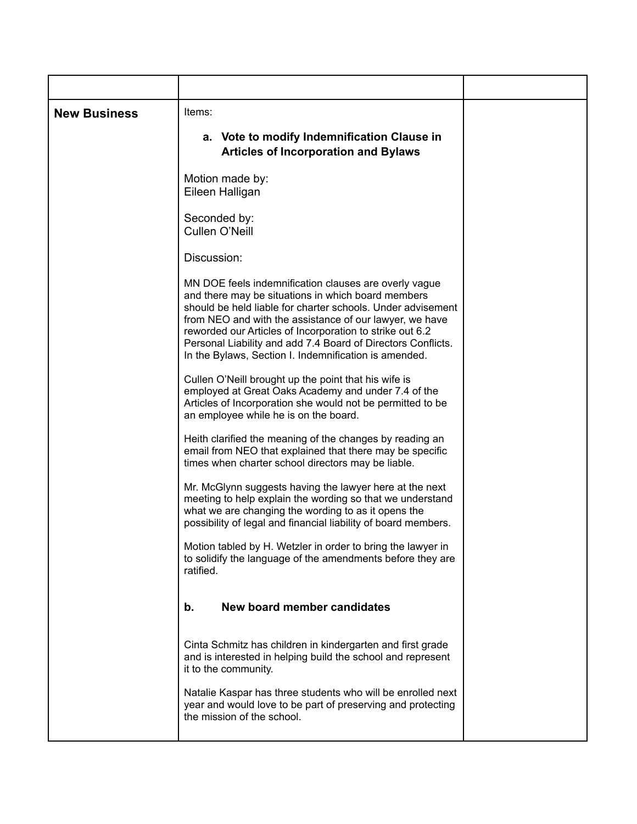| <b>New Business</b> | Items:                                                                                                                                                                                                                                                                                                                                                                                                                     |  |
|---------------------|----------------------------------------------------------------------------------------------------------------------------------------------------------------------------------------------------------------------------------------------------------------------------------------------------------------------------------------------------------------------------------------------------------------------------|--|
|                     | a. Vote to modify Indemnification Clause in<br><b>Articles of Incorporation and Bylaws</b>                                                                                                                                                                                                                                                                                                                                 |  |
|                     | Motion made by:<br>Eileen Halligan                                                                                                                                                                                                                                                                                                                                                                                         |  |
|                     | Seconded by:<br>Cullen O'Neill                                                                                                                                                                                                                                                                                                                                                                                             |  |
|                     | Discussion:                                                                                                                                                                                                                                                                                                                                                                                                                |  |
|                     | MN DOE feels indemnification clauses are overly vague<br>and there may be situations in which board members<br>should be held liable for charter schools. Under advisement<br>from NEO and with the assistance of our lawyer, we have<br>reworded our Articles of Incorporation to strike out 6.2<br>Personal Liability and add 7.4 Board of Directors Conflicts.<br>In the Bylaws, Section I. Indemnification is amended. |  |
|                     | Cullen O'Neill brought up the point that his wife is<br>employed at Great Oaks Academy and under 7.4 of the<br>Articles of Incorporation she would not be permitted to be<br>an employee while he is on the board.                                                                                                                                                                                                         |  |
|                     | Heith clarified the meaning of the changes by reading an<br>email from NEO that explained that there may be specific<br>times when charter school directors may be liable.                                                                                                                                                                                                                                                 |  |
|                     | Mr. McGlynn suggests having the lawyer here at the next<br>meeting to help explain the wording so that we understand<br>what we are changing the wording to as it opens the<br>possibility of legal and financial liability of board members.                                                                                                                                                                              |  |
|                     | Motion tabled by H. Wetzler in order to bring the lawyer in<br>to solidify the language of the amendments before they are<br>ratified.                                                                                                                                                                                                                                                                                     |  |
|                     | New board member candidates<br>b.                                                                                                                                                                                                                                                                                                                                                                                          |  |
|                     | Cinta Schmitz has children in kindergarten and first grade<br>and is interested in helping build the school and represent<br>it to the community.                                                                                                                                                                                                                                                                          |  |
|                     | Natalie Kaspar has three students who will be enrolled next<br>year and would love to be part of preserving and protecting<br>the mission of the school.                                                                                                                                                                                                                                                                   |  |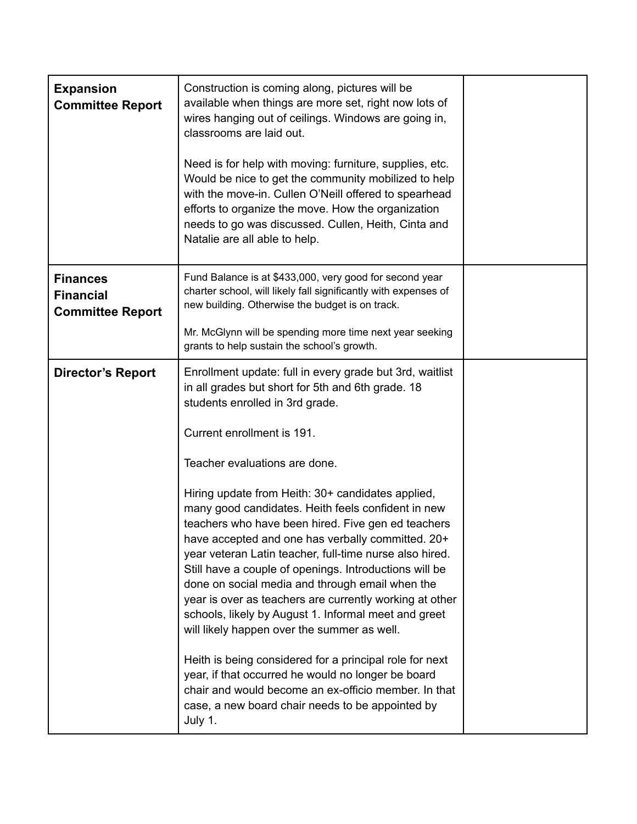| <b>Expansion</b><br><b>Committee Report</b>                    | Construction is coming along, pictures will be<br>available when things are more set, right now lots of<br>wires hanging out of ceilings. Windows are going in,<br>classrooms are laid out.<br>Need is for help with moving: furniture, supplies, etc.<br>Would be nice to get the community mobilized to help<br>with the move-in. Cullen O'Neill offered to spearhead<br>efforts to organize the move. How the organization<br>needs to go was discussed. Cullen, Heith, Cinta and<br>Natalie are all able to help.                                                                                                                                                                                                                                                                                                                                                                                                                                                                                                   |  |
|----------------------------------------------------------------|-------------------------------------------------------------------------------------------------------------------------------------------------------------------------------------------------------------------------------------------------------------------------------------------------------------------------------------------------------------------------------------------------------------------------------------------------------------------------------------------------------------------------------------------------------------------------------------------------------------------------------------------------------------------------------------------------------------------------------------------------------------------------------------------------------------------------------------------------------------------------------------------------------------------------------------------------------------------------------------------------------------------------|--|
| <b>Finances</b><br><b>Financial</b><br><b>Committee Report</b> | Fund Balance is at \$433,000, very good for second year<br>charter school, will likely fall significantly with expenses of<br>new building. Otherwise the budget is on track.<br>Mr. McGlynn will be spending more time next year seeking<br>grants to help sustain the school's growth.                                                                                                                                                                                                                                                                                                                                                                                                                                                                                                                                                                                                                                                                                                                                |  |
| <b>Director's Report</b>                                       | Enrollment update: full in every grade but 3rd, waitlist<br>in all grades but short for 5th and 6th grade. 18<br>students enrolled in 3rd grade.<br>Current enrollment is 191.<br>Teacher evaluations are done.<br>Hiring update from Heith: 30+ candidates applied,<br>many good candidates. Heith feels confident in new<br>teachers who have been hired. Five gen ed teachers<br>have accepted and one has verbally committed. 20+<br>year veteran Latin teacher, full-time nurse also hired.<br>Still have a couple of openings. Introductions will be<br>done on social media and through email when the<br>year is over as teachers are currently working at other<br>schools, likely by August 1. Informal meet and greet<br>will likely happen over the summer as well.<br>Heith is being considered for a principal role for next<br>year, if that occurred he would no longer be board<br>chair and would become an ex-officio member. In that<br>case, a new board chair needs to be appointed by<br>July 1. |  |